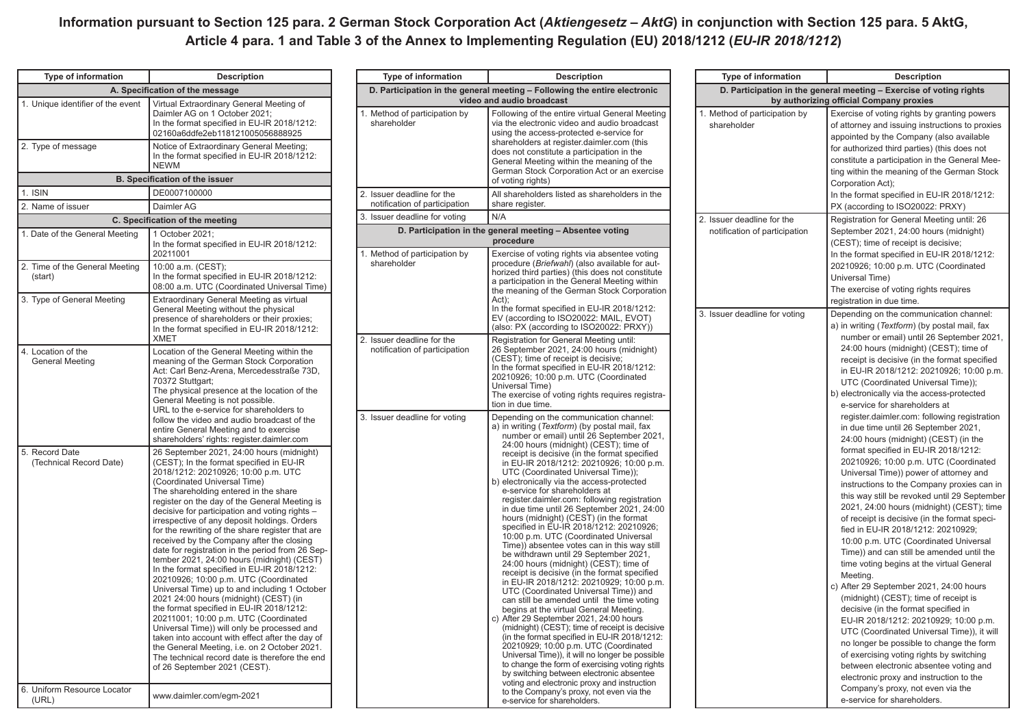## **Information pursuant to Section 125 para. 2 German Stock Corporation Act (***Aktiengesetz – AktG***) in conjunction with Section 125 para. 5 AktG, Article 4 para. 1 and Table 3 of the Annex to Implementing Regulation (EU) 2018/1212 (***EU-IR 2018/1212***)**

| <b>Type of information</b>                   | <b>Description</b>                                                                                                                                                                                                                                                                                                                                                                                                                                                                                                                                                                                                                                                                                                                                                                                                                                                                                                                                                                                                                                                      |  |
|----------------------------------------------|-------------------------------------------------------------------------------------------------------------------------------------------------------------------------------------------------------------------------------------------------------------------------------------------------------------------------------------------------------------------------------------------------------------------------------------------------------------------------------------------------------------------------------------------------------------------------------------------------------------------------------------------------------------------------------------------------------------------------------------------------------------------------------------------------------------------------------------------------------------------------------------------------------------------------------------------------------------------------------------------------------------------------------------------------------------------------|--|
| A. Specification of the message              |                                                                                                                                                                                                                                                                                                                                                                                                                                                                                                                                                                                                                                                                                                                                                                                                                                                                                                                                                                                                                                                                         |  |
| 1. Unique identifier of the event            | Virtual Extraordinary General Meeting of<br>Daimler AG on 1 October 2021;<br>In the format specified in EU-IR 2018/1212:<br>02160a6ddfe2eb118121005056888925                                                                                                                                                                                                                                                                                                                                                                                                                                                                                                                                                                                                                                                                                                                                                                                                                                                                                                            |  |
| 2. Type of message                           | Notice of Extraordinary General Meeting;<br>In the format specified in EU-IR 2018/1212:<br><b>NEWM</b>                                                                                                                                                                                                                                                                                                                                                                                                                                                                                                                                                                                                                                                                                                                                                                                                                                                                                                                                                                  |  |
|                                              | <b>B. Specification of the issuer</b>                                                                                                                                                                                                                                                                                                                                                                                                                                                                                                                                                                                                                                                                                                                                                                                                                                                                                                                                                                                                                                   |  |
| 1. ISIN                                      | DE0007100000                                                                                                                                                                                                                                                                                                                                                                                                                                                                                                                                                                                                                                                                                                                                                                                                                                                                                                                                                                                                                                                            |  |
| 2. Name of issuer                            | Daimler AG                                                                                                                                                                                                                                                                                                                                                                                                                                                                                                                                                                                                                                                                                                                                                                                                                                                                                                                                                                                                                                                              |  |
|                                              | C. Specification of the meeting                                                                                                                                                                                                                                                                                                                                                                                                                                                                                                                                                                                                                                                                                                                                                                                                                                                                                                                                                                                                                                         |  |
| 1. Date of the General Meeting               | 1 October 2021;<br>In the format specified in EU-IR 2018/1212:<br>20211001                                                                                                                                                                                                                                                                                                                                                                                                                                                                                                                                                                                                                                                                                                                                                                                                                                                                                                                                                                                              |  |
| 2. Time of the General Meeting<br>(start)    | 10:00 a.m. (CEST);<br>In the format specified in EU-IR 2018/1212:<br>08:00 a.m. UTC (Coordinated Universal Time)                                                                                                                                                                                                                                                                                                                                                                                                                                                                                                                                                                                                                                                                                                                                                                                                                                                                                                                                                        |  |
| 3. Type of General Meeting                   | Extraordinary General Meeting as virtual<br>General Meeting without the physical<br>presence of shareholders or their proxies:<br>In the format specified in EU-IR 2018/1212:<br><b>XMET</b>                                                                                                                                                                                                                                                                                                                                                                                                                                                                                                                                                                                                                                                                                                                                                                                                                                                                            |  |
| 4. Location of the<br><b>General Meeting</b> | Location of the General Meeting within the<br>meaning of the German Stock Corporation<br>Act: Carl Benz-Arena, Mercedesstraße 73D,<br>70372 Stuttgart;<br>The physical presence at the location of the<br>General Meeting is not possible.<br>URL to the e-service for shareholders to<br>follow the video and audio broadcast of the<br>entire General Meeting and to exercise<br>shareholders' rights: register.daimler.com                                                                                                                                                                                                                                                                                                                                                                                                                                                                                                                                                                                                                                           |  |
| 5. Record Date<br>(Technical Record Date)    | 26 September 2021, 24:00 hours (midnight)<br>(CEST); In the format specified in EU-IR<br>2018/1212: 20210926; 10:00 p.m. UTC<br>(Coordinated Universal Time)<br>The shareholding entered in the share<br>register on the day of the General Meeting is<br>decisive for participation and voting rights -<br>irrespective of any deposit holdings. Orders<br>for the rewriting of the share register that are<br>received by the Company after the closing<br>date for registration in the period from 26 Sep-<br>tember 2021, 24:00 hours (midnight) (CEST)<br>In the format specified in EU-IR 2018/1212:<br>20210926; 10:00 p.m. UTC (Coordinated<br>Universal Time) up to and including 1 October<br>2021 24:00 hours (midnight) (CEST) (in<br>the format specified in EU-IR 2018/1212:<br>20211001; 10:00 p.m. UTC (Coordinated<br>Universal Time)) will only be processed and<br>taken into account with effect after the day of<br>the General Meeting, i.e. on 2 October 2021.<br>The technical record date is therefore the end<br>of 26 September 2021 (CEST). |  |
| 6. Uniform Resource Locator<br>(URL)         | www.daimler.com/egm-2021                                                                                                                                                                                                                                                                                                                                                                                                                                                                                                                                                                                                                                                                                                                                                                                                                                                                                                                                                                                                                                                |  |

| Type of information                                                                                    | <b>Description</b>                                                                                                                                                                                                                                                                                                                                                                                                                                                                                                                                                                                                                                                                                                                                                                                                                                                                                                                                                                                                                                                                                                                                                                                                                                                                                                                                                                                                                                             | Type of information                                                                                 | <b>Description</b>                                                                                                                                                                                                                                                                                                                                                                                                                                                                                                                                                                                                                                                                                                                                                                                                   |
|--------------------------------------------------------------------------------------------------------|----------------------------------------------------------------------------------------------------------------------------------------------------------------------------------------------------------------------------------------------------------------------------------------------------------------------------------------------------------------------------------------------------------------------------------------------------------------------------------------------------------------------------------------------------------------------------------------------------------------------------------------------------------------------------------------------------------------------------------------------------------------------------------------------------------------------------------------------------------------------------------------------------------------------------------------------------------------------------------------------------------------------------------------------------------------------------------------------------------------------------------------------------------------------------------------------------------------------------------------------------------------------------------------------------------------------------------------------------------------------------------------------------------------------------------------------------------------|-----------------------------------------------------------------------------------------------------|----------------------------------------------------------------------------------------------------------------------------------------------------------------------------------------------------------------------------------------------------------------------------------------------------------------------------------------------------------------------------------------------------------------------------------------------------------------------------------------------------------------------------------------------------------------------------------------------------------------------------------------------------------------------------------------------------------------------------------------------------------------------------------------------------------------------|
| D. Participation in the general meeting - Following the entire electronic<br>video and audio broadcast |                                                                                                                                                                                                                                                                                                                                                                                                                                                                                                                                                                                                                                                                                                                                                                                                                                                                                                                                                                                                                                                                                                                                                                                                                                                                                                                                                                                                                                                                | D. Participation in the general meeting - Exercise of vo<br>by authorizing official Company proxies |                                                                                                                                                                                                                                                                                                                                                                                                                                                                                                                                                                                                                                                                                                                                                                                                                      |
| 1. Method of participation by<br>shareholder                                                           | Following of the entire virtual General Meeting<br>via the electronic video and audio broadcast<br>using the access-protected e-service for<br>shareholders at register.daimler.com (this<br>does not constitute a participation in the<br>General Meeting within the meaning of the<br>German Stock Corporation Act or an exercise<br>of voting rights)                                                                                                                                                                                                                                                                                                                                                                                                                                                                                                                                                                                                                                                                                                                                                                                                                                                                                                                                                                                                                                                                                                       | 1. Method of participation by<br>shareholder                                                        | Exercise of voting rights by gr<br>of attorney and issuing instruc<br>appointed by the Company (a<br>for authorized third parties) (th<br>constitute a participation in the<br>ting within the meaning of the<br>Corporation Act);                                                                                                                                                                                                                                                                                                                                                                                                                                                                                                                                                                                   |
| 2. Issuer deadline for the<br>notification of participation                                            | All shareholders listed as shareholders in the<br>share register.                                                                                                                                                                                                                                                                                                                                                                                                                                                                                                                                                                                                                                                                                                                                                                                                                                                                                                                                                                                                                                                                                                                                                                                                                                                                                                                                                                                              |                                                                                                     | In the format specified in EU-I<br>PX (according to ISO20022: F                                                                                                                                                                                                                                                                                                                                                                                                                                                                                                                                                                                                                                                                                                                                                      |
| 3. Issuer deadline for voting                                                                          | N/A                                                                                                                                                                                                                                                                                                                                                                                                                                                                                                                                                                                                                                                                                                                                                                                                                                                                                                                                                                                                                                                                                                                                                                                                                                                                                                                                                                                                                                                            | 2. Issuer deadline for the                                                                          | <b>Registration for General Meet</b>                                                                                                                                                                                                                                                                                                                                                                                                                                                                                                                                                                                                                                                                                                                                                                                 |
|                                                                                                        | D. Participation in the general meeting - Absentee voting<br>procedure                                                                                                                                                                                                                                                                                                                                                                                                                                                                                                                                                                                                                                                                                                                                                                                                                                                                                                                                                                                                                                                                                                                                                                                                                                                                                                                                                                                         | notification of participation                                                                       | September 2021, 24:00 hours<br>(CEST); time of receipt is deci                                                                                                                                                                                                                                                                                                                                                                                                                                                                                                                                                                                                                                                                                                                                                       |
| 1. Method of participation by<br>shareholder                                                           | Exercise of voting rights via absentee voting<br>procedure (Briefwahl) (also available for aut-<br>horized third parties) (this does not constitute<br>a participation in the General Meeting within<br>the meaning of the German Stock Corporation<br>Act);<br>In the format specified in EU-IR 2018/1212:<br>EV (according to ISO20022: MAIL, EVOT)<br>(also: PX (according to ISO20022: PRXY))                                                                                                                                                                                                                                                                                                                                                                                                                                                                                                                                                                                                                                                                                                                                                                                                                                                                                                                                                                                                                                                              | 3. Issuer deadline for voting                                                                       | In the format specified in EU-I<br>20210926; 10:00 p.m. UTC (C<br>Universal Time)<br>The exercise of voting rights r<br>registration in due time.<br>Depending on the communica<br>a) in writing (Textform) (by po:                                                                                                                                                                                                                                                                                                                                                                                                                                                                                                                                                                                                  |
| 2. Issuer deadline for the<br>notification of participation                                            | Registration for General Meeting until:<br>26 September 2021, 24:00 hours (midnight)<br>(CEST); time of receipt is decisive;<br>In the format specified in EU-IR 2018/1212:<br>20210926; 10:00 p.m. UTC (Coordinated<br>Universal Time)<br>The exercise of voting rights requires registra-<br>tion in due time.                                                                                                                                                                                                                                                                                                                                                                                                                                                                                                                                                                                                                                                                                                                                                                                                                                                                                                                                                                                                                                                                                                                                               |                                                                                                     | number or email) until 26 S<br>24:00 hours (midnight) (CE<br>receipt is decisive (in the fo<br>in EU-IR 2018/1212: 20210<br><b>UTC (Coordinated Universa</b><br>b) electronically via the acces<br>e-service for shareholders                                                                                                                                                                                                                                                                                                                                                                                                                                                                                                                                                                                        |
| 3. Issuer deadline for voting                                                                          | Depending on the communication channel:<br>a) in writing (Textform) (by postal mail, fax<br>number or email) until 26 September 2021,<br>24:00 hours (midnight) (CEST); time of<br>receipt is decisive (in the format specified<br>in EU-IR 2018/1212: 20210926; 10:00 p.m.<br>UTC (Coordinated Universal Time));<br>b) electronically via the access-protected<br>e-service for shareholders at<br>register.daimler.com: following registration<br>in due time until 26 September 2021, 24:00<br>hours (midnight) (CEST) (in the format<br>specified in EU-IR 2018/1212: 20210926;<br>10:00 p.m. UTC (Coordinated Universal<br>Time)) absentee votes can in this way still<br>be withdrawn until 29 September 2021,<br>24:00 hours (midnight) (CEST); time of<br>receipt is decisive (in the format specified<br>in EU-IR 2018/1212: 20210929; 10:00 p.m.<br>UTC (Coordinated Universal Time)) and<br>can still be amended until the time voting<br>begins at the virtual General Meeting.<br>After 29 September 2021, 24:00 hours<br>c)<br>(midnight) (CEST); time of receipt is decisive<br>(in the format specified in EU-IR 2018/1212:<br>20210929; 10:00 p.m. UTC (Coordinated<br>Universal Time)), it will no longer be possible<br>to change the form of exercising voting rights<br>by switching between electronic absentee<br>voting and electronic proxy and instruction<br>to the Company's proxy, not even via the<br>e-service for shareholders |                                                                                                     | register.daimler.com: follow<br>in due time until 26 Septem<br>24:00 hours (midnight) (CE<br>format specified in EU-IR 2<br>20210926; 10:00 p.m. UTC<br>Universal Time)) power of a<br>instructions to the Compan<br>this way still be revoked un<br>2021, 24:00 hours (midnight)<br>of receipt is decisive (in the<br>fied in EU-IR 2018/1212: 2<br>10:00 p.m. UTC (Coordinat<br>Time)) and can still be ame<br>time voting begins at the vil<br>Meeting.<br>c) After 29 September 2021, 2<br>(midnight) (CEST); time of<br>decisive (in the format spect<br>EU-IR 2018/1212: 2021092<br><b>UTC (Coordinated Universa</b><br>no longer be possible to ch<br>of exercising voting rights b<br>between electronic absente<br>electronic proxy and instruc<br>Company's proxy, not even<br>e-service for shareholders. |

| D. Participation in the general meeting - Exercise of voting rights<br>by authorizing official Company proxies |                                                                                                                                                                                                                                                                                                                                                                                                                                                                                                                                                                                                                                                                                                                                                                                                                                                                                                                                                                                                                                                                                                                                                                                                                                                                                                                                                                                                                                                                                                                  |  |
|----------------------------------------------------------------------------------------------------------------|------------------------------------------------------------------------------------------------------------------------------------------------------------------------------------------------------------------------------------------------------------------------------------------------------------------------------------------------------------------------------------------------------------------------------------------------------------------------------------------------------------------------------------------------------------------------------------------------------------------------------------------------------------------------------------------------------------------------------------------------------------------------------------------------------------------------------------------------------------------------------------------------------------------------------------------------------------------------------------------------------------------------------------------------------------------------------------------------------------------------------------------------------------------------------------------------------------------------------------------------------------------------------------------------------------------------------------------------------------------------------------------------------------------------------------------------------------------------------------------------------------------|--|
| 1. Method of participation by<br>shareholder                                                                   | Exercise of voting rights by granting powers<br>of attorney and issuing instructions to proxies<br>appointed by the Company (also available<br>for authorized third parties) (this does not<br>constitute a participation in the General Mee-<br>ting within the meaning of the German Stock<br>Corporation Act);<br>In the format specified in EU-IR 2018/1212:<br>PX (according to ISO20022: PRXY)                                                                                                                                                                                                                                                                                                                                                                                                                                                                                                                                                                                                                                                                                                                                                                                                                                                                                                                                                                                                                                                                                                             |  |
| 2. Issuer deadline for the<br>notification of participation                                                    | Registration for General Meeting until: 26<br>September 2021, 24:00 hours (midnight)<br>(CEST); time of receipt is decisive;<br>In the format specified in EU-IR 2018/1212:<br>20210926; 10:00 p.m. UTC (Coordinated<br>Universal Time)<br>The exercise of voting rights requires<br>registration in due time.                                                                                                                                                                                                                                                                                                                                                                                                                                                                                                                                                                                                                                                                                                                                                                                                                                                                                                                                                                                                                                                                                                                                                                                                   |  |
| 3. Issuer deadline for voting                                                                                  | Depending on the communication channel:<br>a) in writing (Textform) (by postal mail, fax<br>number or email) until 26 September 2021,<br>24:00 hours (midnight) (CEST); time of<br>receipt is decisive (in the format specified<br>in EU-IR 2018/1212: 20210926; 10:00 p.m.<br>UTC (Coordinated Universal Time));<br>b) electronically via the access-protected<br>e-service for shareholders at<br>register.daimler.com: following registration<br>in due time until 26 September 2021,<br>24:00 hours (midnight) (CEST) (in the<br>format specified in EU-IR 2018/1212:<br>20210926; 10:00 p.m. UTC (Coordinated<br>Universal Time)) power of attorney and<br>instructions to the Company proxies can in<br>this way still be revoked until 29 September<br>2021, 24:00 hours (midnight) (CEST); time<br>of receipt is decisive (in the format speci-<br>fied in EU-IR 2018/1212: 20210929;<br>10:00 p.m. UTC (Coordinated Universal<br>Time)) and can still be amended until the<br>time voting begins at the virtual General<br>Meeting.<br>c) After 29 September 2021, 24:00 hours<br>(midnight) (CEST); time of receipt is<br>decisive (in the format specified in<br>EU-IR 2018/1212: 20210929; 10:00 p.m.<br>UTC (Coordinated Universal Time)), it will<br>no longer be possible to change the form<br>of exercising voting rights by switching<br>between electronic absentee voting and<br>electronic proxy and instruction to the<br>Company's proxy, not even via the<br>e-service for shareholders. |  |